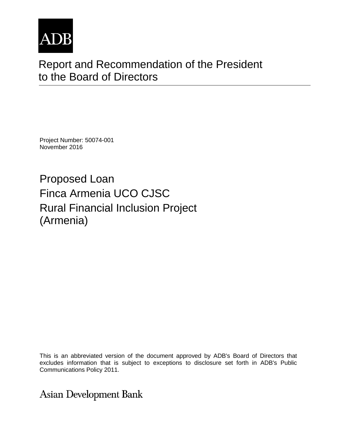

# Report and Recommendation of the President to the Board of Directors

Project Number: 50074-001 November 2016

Proposed Loan Finca Armenia UCO CJSC Rural Financial Inclusion Project (Armenia)

This is an abbreviated version of the document approved by ADB's Board of Directors that excludes information that is subject to exceptions to disclosure set forth in ADB's Public Communications Policy 2011.

**Asian Development Bank**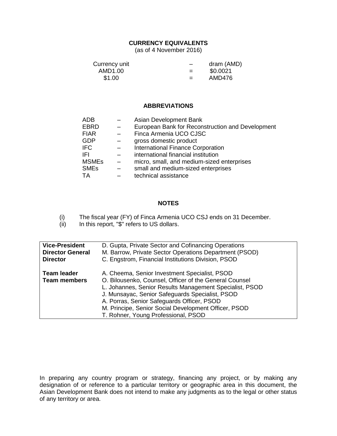#### **CURRENCY EQUIVALENTS**

(as of 4 November 2016)

| Currency unit | $\overline{\phantom{0}}$ | dram (AMD) |
|---------------|--------------------------|------------|
| AMD1.00       | $=$                      | \$0.0021   |
| \$1.00        | $=$                      | AMD476     |

#### **ABBREVIATIONS**

| Asian Development Bank                           |
|--------------------------------------------------|
| European Bank for Reconstruction and Development |
| Finca Armenia UCO CJSC                           |
| gross domestic product                           |
| International Finance Corporation                |
| international financial institution              |
| micro, small, and medium-sized enterprises       |
| small and medium-sized enterprises               |
| technical assistance                             |
|                                                  |

#### **NOTES**

(i) The fiscal year (FY) of Finca Armenia UCO CSJ ends on 31 December.<br>(ii) In this report, "\$" refers to US dollars.

In this report, "\$" refers to US dollars.

| <b>Vice-President</b>                     | D. Gupta, Private Sector and Cofinancing Operations                                                                                                                                                                                                                                                                                                                |
|-------------------------------------------|--------------------------------------------------------------------------------------------------------------------------------------------------------------------------------------------------------------------------------------------------------------------------------------------------------------------------------------------------------------------|
| <b>Director General</b>                   | M. Barrow, Private Sector Operations Department (PSOD)                                                                                                                                                                                                                                                                                                             |
| <b>Director</b>                           | C. Engstrom, Financial Institutions Division, PSOD                                                                                                                                                                                                                                                                                                                 |
| <b>Team leader</b><br><b>Team members</b> | A. Cheema, Senior Investment Specialist, PSOD<br>O. Bilousenko, Counsel, Officer of the General Counsel<br>L. Johannes, Senior Results Management Specialist, PSOD<br>J. Munsayac, Senior Safeguards Specialist, PSOD<br>A. Porras, Senior Safeguards Officer, PSOD<br>M. Principe, Senior Social Development Officer, PSOD<br>T. Rohner, Young Professional, PSOD |

In preparing any country program or strategy, financing any project, or by making any designation of or reference to a particular territory or geographic area in this document, the Asian Development Bank does not intend to make any judgments as to the legal or other status of any territory or area.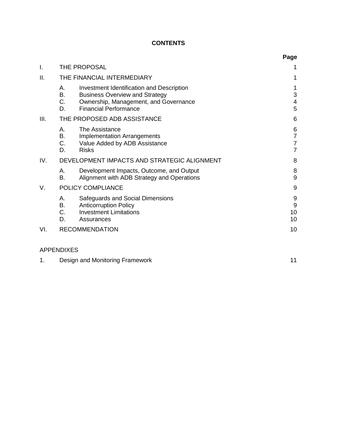# **CONTENTS**

|      |                                                                                                                                                                                     | Page                                                    |
|------|-------------------------------------------------------------------------------------------------------------------------------------------------------------------------------------|---------------------------------------------------------|
| I.   | THE PROPOSAL                                                                                                                                                                        | 1                                                       |
| ΙΙ.  | THE FINANCIAL INTERMEDIARY                                                                                                                                                          | 1                                                       |
|      | Investment Identification and Description<br>А.<br>В.<br><b>Business Overview and Strategy</b><br>C.<br>Ownership, Management, and Governance<br><b>Financial Performance</b><br>D. | 1<br>3<br>4<br>5                                        |
| III. | THE PROPOSED ADB ASSISTANCE                                                                                                                                                         | 6                                                       |
|      | The Assistance<br>А.<br><b>B.</b><br><b>Implementation Arrangements</b><br>С.<br>Value Added by ADB Assistance<br>D.<br><b>Risks</b>                                                | 6<br>$\overline{7}$<br>$\overline{7}$<br>$\overline{7}$ |
| IV.  | DEVELOPMENT IMPACTS AND STRATEGIC ALIGNMENT                                                                                                                                         | 8                                                       |
|      | А.<br>Development Impacts, Outcome, and Output<br>B.<br>Alignment with ADB Strategy and Operations                                                                                  | 8<br>$\overline{9}$                                     |
| V.   | POLICY COMPLIANCE                                                                                                                                                                   | 9                                                       |
|      | Safeguards and Social Dimensions<br>А.<br>В.<br><b>Anticorruption Policy</b><br>C.<br><b>Investment Limitations</b><br>D.<br>Assurances                                             | 9<br>$\boldsymbol{9}$<br>10<br>10                       |
| VI.  | <b>RECOMMENDATION</b>                                                                                                                                                               | 10                                                      |

# APPENDIXES

|  | Design and Monitoring Framework |  |
|--|---------------------------------|--|
|--|---------------------------------|--|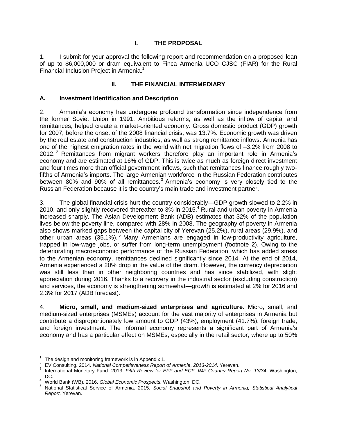# **I. THE PROPOSAL**

<span id="page-4-0"></span>1. I submit for your approval the following report and recommendation on a proposed loan of up to \$6,000,000 or dram equivalent to Finca Armenia UCO CJSC (FIAR) for the Rural Financial Inclusion Project in Armenia. 1

# **II. THE FINANCIAL INTERMEDIARY**

#### <span id="page-4-2"></span><span id="page-4-1"></span>**A. Investment Identification and Description**

2. Armenia's economy has undergone profound transformation since independence from the former Soviet Union in 1991. Ambitious reforms, as well as the inflow of capital and remittances, helped create a market-oriented economy. Gross domestic product (GDP) growth for 2007, before the onset of the 2008 financial crisis, was 13.7%. Economic growth was driven by the real estate and construction industries, as well as strong remittance inflows. Armenia has one of the highest emigration rates in the world with net migration flows of –3.2% from 2008 to 2012.<sup>2</sup> Remittances from migrant workers therefore play an important role in Armenia's economy and are estimated at 16% of GDP. This is twice as much as foreign direct investment and four times more than official government inflows, such that remittances finance roughly twofifths of Armenia's imports. The large Armenian workforce in the Russian Federation contributes between 80% and 90% of all remittances.<sup>3</sup> Armenia's economy is very closely tied to the Russian Federation because it is the country's main trade and investment partner.

3. The global financial crisis hurt the country considerably—GDP growth slowed to 2.2% in 2010, and only slightly recovered thereafter to 3% in 2015.<sup>4</sup> Rural and urban poverty in Armenia increased sharply. The Asian Development Bank (ADB) estimates that 32% of the population lives below the poverty line, compared with 28% in 2008. The geography of poverty in Armenia also shows marked gaps between the capital city of Yerevan (25.2%), rural areas (29.9%), and other urban areas (35.1%).<sup>5</sup> Many Armenians are engaged in low-productivity agriculture, trapped in low-wage jobs, or suffer from long-term unemployment (footnote 2). Owing to the deteriorating macroeconomic performance of the Russian Federation, which has added stress to the Armenian economy, remittances declined significantly since 2014. At the end of 2014, Armenia experienced a 20% drop in the value of the dram. However, the currency depreciation was still less than in other neighboring countries and has since stabilized, with slight appreciation during 2016. Thanks to a recovery in the industrial sector (excluding construction) and services, the economy is strengthening somewhat—growth is estimated at 2% for 2016 and 2.3% for 2017 (ADB forecast).

4. **Micro, small, and medium-sized enterprises and agriculture**. Micro, small, and medium-sized enterprises (MSMEs) account for the vast majority of enterprises in Armenia but contribute a disproportionately low amount to GDP (43%), employment (41.7%), foreign trade, and foreign investment. The informal economy represents a significant part of Armenia's economy and has a particular effect on MSMEs, especially in the retail sector, where up to 50%

 $\overline{a}$ 1 The design and monitoring framework is in Appendix 1.

<sup>2</sup> EV Consulting. 2014. *National Competitiveness Report of Armenia, 2013-2014.* Yerevan.

<sup>3</sup> International Monetary Fund. 2013*. Fifth Review for EFF and ECF, IMF Country Report No. 13/34.* Washington, DC.

<sup>4</sup> World Bank (WB). 2016. *Global Economic Prospects.* Washington, DC.

<sup>5</sup> National Statistical Service of Armenia. 2015. *Social Snapshot and Poverty in Armenia, Statistical Analytical Report.* Yerevan.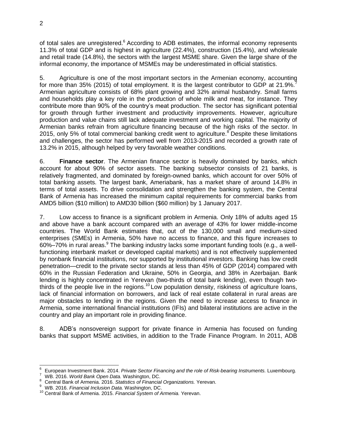of total sales are unregistered.<sup>6</sup> According to ADB estimates, the informal economy represents 11.3% of total GDP and is highest in agriculture (22.4%), construction (15.4%), and wholesale and retail trade (14.8%), the sectors with the largest MSME share. Given the large share of the informal economy, the importance of MSMEs may be underestimated in official statistics.

5. Agriculture is one of the most important sectors in the Armenian economy, accounting for more than 35% (2015) of total employment. It is the largest contributor to GDP at 21.9%.<sup>7</sup> Armenian agriculture consists of 68% plant growing and 32% animal husbandry. Small farms and households play a key role in the production of whole milk and meat, for instance. They contribute more than 90% of the country's meat production. The sector has significant potential for growth through further investment and productivity improvements. However, agriculture production and value chains still lack adequate investment and working capital. The majority of Armenian banks refrain from agriculture financing because of the high risks of the sector. In 2015, only 5% of total commercial banking credit went to agriculture.<sup>8</sup> Despite these limitations and challenges, the sector has performed well from 2013-2015 and recorded a growth rate of 13.2% in 2015, although helped by very favorable weather conditions.

6. **Finance sector**. The Armenian finance sector is heavily dominated by banks, which account for about 90% of sector assets. The banking subsector consists of 21 banks, is relatively fragmented, and dominated by foreign-owned banks, which account for over 50% of total banking assets. The largest bank, Ameriabank, has a market share of around 14.8% in terms of total assets. To drive consolidation and strengthen the banking system, the Central Bank of Armenia has increased the minimum capital requirements for commercial banks from AMD5 billion (\$10 million) to AMD30 billion (\$60 million) by 1 January 2017.

7. Low access to finance is a significant problem in Armenia. Only 18% of adults aged 15 and above have a bank account compared with an average of 43% for lower middle-income countries. The World Bank estimates that, out of the 130,000 small and medium-sized enterprises (SMEs) in Armenia, 50% have no access to finance, and this figure increases to 60%–70% in rural areas.<sup>9</sup> The banking industry lacks some important funding tools (e.g., a wellfunctioning interbank market or developed capital markets) and is not effectively supplemented by nonbank financial institutions, nor supported by institutional investors. Banking has low credit penetration—credit to the private sector stands at less than 45% of GDP (2014) compared with 60% in the Russian Federation and Ukraine, 50% in Georgia, and 38% in Azerbaijan. Bank lending is highly concentrated in Yerevan (two-thirds of total bank lending), even though twothirds of the people live in the regions.<sup>10</sup> Low population density, riskiness of agriculture loans, lack of financial information on borrowers, and lack of real estate collateral in rural areas are major obstacles to lending in the regions. Given the need to increase access to finance in Armenia, some international financial institutions (IFIs) and bilateral institutions are active in the country and play an important role in providing finance.

8. ADB's nonsovereign support for private finance in Armenia has focused on funding banks that support MSME activities, in addition to the Trade Finance Program. In 2011, ADB

 $\overline{\phantom{a}}$ 6 European Investment Bank. 2014. *Private Sector Financing and the role of Risk-bearing Instruments.* Luxembourg.

<sup>7</sup> WB. 2016. *World Bank Open Data.* Washington, DC.

<sup>8</sup> Central Bank of Armenia. 2016. *Statistics of Financial Organizations.* Yerevan.

<sup>9</sup> WB. 2016. *Financial Inclusion Data.* Washington, DC.

<sup>10</sup> Central Bank of Armenia. 2015. *Financial System of Armenia.* Yerevan.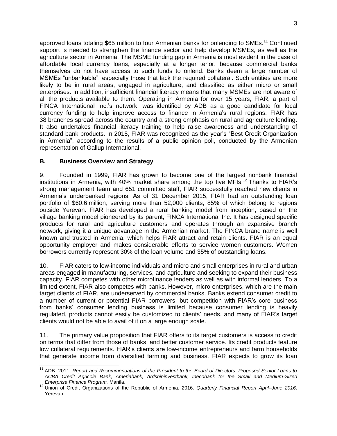approved loans totaling \$65 million to four Armenian banks for onlending to SMEs.<sup>11</sup> Continued support is needed to strengthen the finance sector and help develop MSMEs, as well as the agriculture sector in Armenia. The MSME funding gap in Armenia is most evident in the case of affordable local currency loans, especially at a longer tenor, because commercial banks themselves do not have access to such funds to onlend. Banks deem a large number of MSMEs "unbankable", especially those that lack the required collateral. Such entities are more likely to be in rural areas, engaged in agriculture, and classified as either micro or small enterprises. In addition, insufficient financial literacy means that many MSMEs are not aware of all the products available to them. Operating in Armenia for over 15 years, FIAR, a part of FINCA International Inc.'s network, was identified by ADB as a good candidate for local currency funding to help improve access to finance in Armenia's rural regions. FIAR has 38 branches spread across the country and a strong emphasis on rural and agriculture lending. It also undertakes financial literacy training to help raise awareness and understanding of standard bank products. In 2015, FIAR was recognized as the year's "Best Credit Organization in Armenia", according to the results of a public opinion poll, conducted by the Armenian representation of Gallup International.

#### <span id="page-6-0"></span>**B. Business Overview and Strategy**

9. Founded in 1999, FIAR has grown to become one of the largest nonbank financial institutions in Armenia, with 40% market share among the top five MFIs. <sup>12</sup> Thanks to FIAR's strong management team and 651 committed staff, FIAR successfully reached new clients in Armenia's underbanked regions. As of 31 December 2015, FIAR had an outstanding loan portfolio of \$60.6 million, serving more than 52,000 clients, 85% of which belong to regions outside Yerevan. FIAR has developed a rural banking model from inception, based on the village banking model pioneered by its parent, FINCA International Inc. It has designed specific products for rural and agriculture customers and operates through an expansive branch network, giving it a unique advantage in the Armenian market. The FINCA brand name is well known and trusted in Armenia, which helps FIAR attract and retain clients. FIAR is an equal opportunity employer and makes considerable efforts to service women customers. Women borrowers currently represent 30% of the loan volume and 35% of outstanding loans.

10. FIAR caters to low-income individuals and micro and small enterprises in rural and urban areas engaged in manufacturing, services, and agriculture and seeking to expand their business capacity. FIAR competes with other microfinance lenders as well as with informal lenders. To a limited extent, FIAR also competes with banks. However, micro enterprises, which are the main target clients of FIAR, are underserved by commercial banks. Banks extend consumer credit to a number of current or potential FIAR borrowers, but competition with FIAR's core business from banks' consumer lending business is limited because consumer lending is heavily regulated, products cannot easily be customized to clients' needs, and many of FIAR's target clients would not be able to avail of it on a large enough scale.

11. The primary value proposition that FIAR offers to its target customers is access to credit on terms that differ from those of banks, and better customer service. Its credit products feature low collateral requirements. FIAR's clients are low-income entrepreneurs and farm households that generate income from diversified farming and business. FIAR expects to grow its loan

 $\overline{a}$ <sup>11</sup> ADB. 2011. *Report and Recommendations of the President to the Board of Directors: Proposed Senior Loans to ACBA Credit Agricole Bank, Ameriabank, Ardshininvestbank, Inecobank for the Small and Medium-Sized Enterprise Finance Program.* Manila.

<sup>12</sup> Union of Credit Organizations of the Republic of Armenia. 2016. *Quarterly Financial Report April–June 2016*. Yerevan.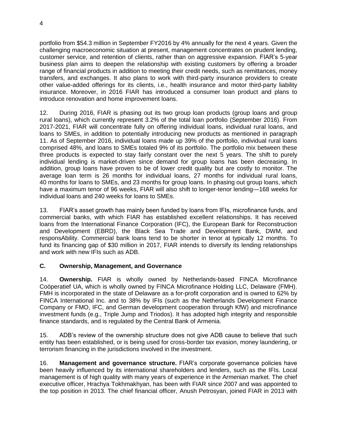portfolio from \$54.3 million in September FY2016 by 4% annually for the next 4 years. Given the challenging macroeconomic situation at present, management concentrates on prudent lending, customer service, and retention of clients, rather than on aggressive expansion. FIAR's 5-year business plan aims to deepen the relationship with existing customers by offering a broader range of financial products in addition to meeting their credit needs, such as remittances, money transfers, and exchanges. It also plans to work with third-party insurance providers to create other value-added offerings for its clients, i.e., health insurance and motor third-party liability insurance. Moreover, in 2016 FIAR has introduced a consumer loan product and plans to introduce renovation and home improvement loans.

12. During 2016, FIAR is phasing out its two group loan products (group loans and group rural loans), which currently represent 3.2% of the total loan portfolio (September 2016). From 2017-2021, FIAR will concentrate fully on offering individual loans, individual rural loans, and loans to SMEs, in addition to potentially introducing new products as mentioned in paragraph 11. As of September 2016, individual loans made up 39% of the portfolio, individual rural loans comprised 48%, and loans to SMEs totaled 9% of its portfolio. The portfolio mix between these three products is expected to stay fairly constant over the next 5 years. The shift to purely individual lending is market-driven since demand for group loans has been decreasing. In addition, group loans have proven to be of lower credit quality but are costly to monitor. The average loan term is 26 months for individual loans, 27 months for individual rural loans, 40 months for loans to SMEs, and 23 months for group loans. In phasing out group loans, which have a maximum tenor of 96 weeks, FIAR will also shift to longer-tenor lending—168 weeks for individual loans and 240 weeks for loans to SMEs.

13. FIAR's asset growth has mainly been funded by loans from IFIs, microfinance funds, and commercial banks, with which FIAR has established excellent relationships. It has received loans from the International Finance Corporation (IFC), the European Bank for Reconstruction and Development (EBRD), the Black Sea Trade and Development Bank, DWM, and responsAbility. Commercial bank loans tend to be shorter in tenor at typically 12 months. To fund its financing gap of \$30 million in 2017, FIAR intends to diversify its lending relationships and work with new IFIs such as ADB.

# <span id="page-7-0"></span>**C. Ownership, Management, and Governance**

14. **Ownership.** FIAR is wholly owned by Netherlands-based FINCA Microfinance Coöperatief UA, which is wholly owned by FINCA Microfinance Holding LLC, Delaware (FMH). FMH is incorporated in the state of Delaware as a for-profit corporation and is owned to 62% by FINCA International Inc. and to 38% by IFIs (such as the Netherlands Development Finance Company or FMO, IFC, and German development cooperation through KfW) and microfinance investment funds (e.g., Triple Jump and Triodos). It has adopted high integrity and responsible finance standards, and is regulated by the Central Bank of Armenia.

15. ADB's review of the ownership structure does not give ADB cause to believe that such entity has been established, or is being used for cross-border tax evasion, money laundering, or terrorism financing in the jurisdictions involved in the investment.

16. **Management and governance structure.** FIAR's corporate governance policies have been heavily influenced by its international shareholders and lenders, such as the IFIs. Local management is of high quality with many years of experience in the Armenian market. The chief executive officer, Hrachya Tokhmakhyan, has been with FIAR since 2007 and was appointed to the top position in 2013. The chief financial officer, Anush Petrosyan, joined FIAR in 2013 with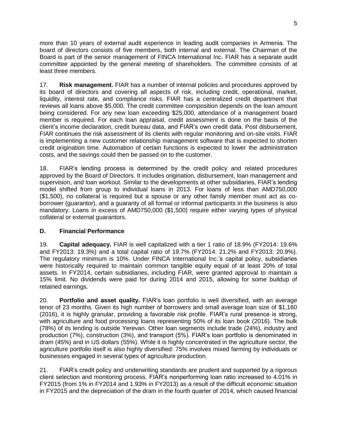more than 10 years of external audit experience in leading audit companies in Armenia. The board of directors consists of five members, both internal and external. The Chairman of the Board is part of the senior management of FINCA International Inc. FIAR has a separate audit committee appointed by the general meeting of shareholders. The committee consists of at least three members.

17. **Risk management.** FIAR has a number of internal policies and procedures approved by its board of directors and covering all aspects of risk, including credit, operational, market, liquidity, interest rate, and compliance risks. FIAR has a centralized credit department that reviews all loans above \$5,000. The credit committee composition depends on the loan amount being considered. For any new loan exceeding \$25,000, attendance of a management board member is required. For each loan appraisal, credit assessment is done on the basis of the client's income declaration, credit bureau data, and FIAR's own credit data. Post disbursement, FIAR continues the risk assessment of its clients with regular monitoring and on-site visits. FIAR is implementing a new customer relationship management software that is expected to shorten credit origination time. Automation of certain functions is expected to lower the administration costs, and the savings could then be passed on to the customer.

18. FIAR's lending process is determined by the credit policy and related procedures approved by the Board of Directors. It includes origination, disbursement, loan management and supervision, and loan workout. Similar to the developments at other subsidiaries, FIAR's lending model shifted from group to individual loans in 2013. For loans of less than AMD750,000 (\$1,500), no collateral is required but a spouse or any other family member must act as coborrower (guarantor), and a guaranty of all formal or informal participants in the business is also mandatory. Loans in excess of AMD750,000 (\$1,500) require either varying types of physical collateral or external guarantors.

# <span id="page-8-0"></span>**D. Financial Performance**

19. **Capital adequacy.** FIAR is well capitalized with a tier 1 ratio of 18.9% (FY2014: 19.6% and FY2013: 19.3%) and a total capital ratio of 19.7% (FY2014: 21.2% and FY2013: 20.9%). The regulatory minimum is 10%. Under FINCA International Inc.'s capital policy, subsidiaries were historically required to maintain common tangible equity equal of at least 20% of total assets. In FY2014, certain subsidiaries, including FIAR, were granted approval to maintain a 15% limit. No dividends were paid for during 2014 and 2015, allowing for some buildup of retained earnings.

20. **Portfolio and asset quality.** FIAR's loan portfolio is well diversified, with an average tenor of 23 months. Given its high number of borrowers and small average loan size of \$1,160 (2016), it is highly granular, providing a favorable risk profile. FIAR's rural presence is strong, with agriculture and food processing loans representing 50% of its loan book (2016). The bulk (78%) of its lending is outside Yerevan. Other loan segments include trade (24%), industry and production (7%), construction (3%), and transport (5%). FIAR's loan portfolio is denominated in dram (45%) and in US dollars (55%). While it is highly concentrated in the agriculture sector, the agriculture portfolio itself is also highly diversified: 75% involves mixed farming by individuals or businesses engaged in several types of agriculture production.

21. FIAR's credit policy and underwriting standards are prudent and supported by a rigorous client selection and monitoring process. FIAR's nonperforming loan ratio increased to 4.01% in FY2015 (from 1% in FY2014 and 1.93% in FY2013) as a result of the difficult economic situation in FY2015 and the depreciation of the dram in the fourth quarter of 2014, which caused financial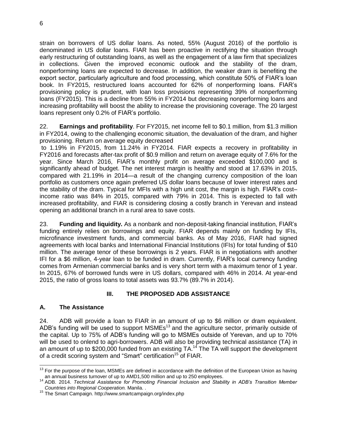strain on borrowers of US dollar loans. As noted, 55% (August 2016) of the portfolio is denominated in US dollar loans. FIAR has been proactive in rectifying the situation through early restructuring of outstanding loans, as well as the engagement of a law firm that specializes in collections. Given the improved economic outlook and the stability of the dram, nonperforming loans are expected to decrease. In addition, the weaker dram is benefiting the export sector, particularly agriculture and food processing, which constitute 50% of FIAR's loan book. In FY2015, restructured loans accounted for 62% of nonperforming loans. FIAR's provisioning policy is prudent, with loan loss provisions representing 39% of nonperforming loans (FY2015). This is a decline from 55% in FY2014 but decreasing nonperforming loans and increasing profitability will boost the ability to increase the provisioning coverage. The 20 largest loans represent only 0.2% of FIAR's portfolio.

22. **Earnings and profitability**. For FY2015, net income fell to \$0.1 million, from \$1.3 million in FY2014, owing to the challenging economic situation, the devaluation of the dram, and higher provisioning. Return on average equity decreased

to 1.19% in FY2015, from 11.24% in FY2014. FIAR expects a recovery in profitability in FY2016 and forecasts after-tax profit of \$0.9 million and return on average equity of 7.6% for the year. Since March 2016, FIAR's monthly profit on average exceeded \$100,000 and is significantly ahead of budget. The net interest margin is healthy and stood at 17.63% in 2015, compared with 21.19% in 2014—a result of the changing currency composition of the loan portfolio as customers once again preferred US dollar loans because of lower interest rates and the stability of the dram. Typical for MFIs with a high unit cost, the margin is high. FIAR's cost– income ratio was 84% in 2015, compared with 79% in 2014. This is expected to fall with increased profitability, and FIAR is considering closing a costly branch in Yerevan and instead opening an additional branch in a rural area to save costs.

23. **Funding and liquidity.** As a nonbank and non-deposit-taking financial institution, FIAR's funding entirely relies on borrowings and equity. FIAR depends mainly on funding by IFIs, microfinance investment funds, and commercial banks. As of May 2016, FIAR had signed agreements with local banks and International Financial Institutions (IFIs) for total funding of \$10 million. The average tenor of these borrowings is 2 years. FIAR is in negotiations with another IFI for a \$6 million, 4-year loan to be funded in dram. Currently, FIAR's local currency funding comes from Armenian commercial banks and is very short term with a maximum tenor of 1 year. In 2015, 67% of borrowed funds were in US dollars, compared with 46% in 2014. At year-end 2015, the ratio of gross loans to total assets was 93.7% (89.7% in 2014).

# **III. THE PROPOSED ADB ASSISTANCE**

#### <span id="page-9-1"></span><span id="page-9-0"></span>**A. The Assistance**

24. ADB will provide a loan to FIAR in an amount of up to \$6 million or dram equivalent. ADB's funding will be used to support  $MSMEs<sup>13</sup>$  and the agriculture sector, primarily outside of the capital. Up to 75% of ADB's funding will go to MSMEs outside of Yerevan, and up to 70% will be used to onlend to agri-borrowers. ADB will also be providing technical assistance (TA) in an amount of up to \$200,000 funded from an existing  $TA$ <sup>14</sup> The  $TA$  will support the development of a credit scoring system and "Smart" certification<sup>15</sup> of FIAR.

 $\overline{a}$  $13$  For the purpose of the loan, MSMEs are defined in accordance with the definition of the European Union as having an annual business turnover of up to AMD1,500 million and up to 250 employees.

<sup>14</sup> ADB. 2014. *Technical Assistance for Promoting Financial Inclusion and Stability in ADB's Transition Member Countries into Regional Cooperation.* Manila. .

<sup>&</sup>lt;sup>15</sup> The Smart Campaign.<http://www.smartcampaign.org/index.php>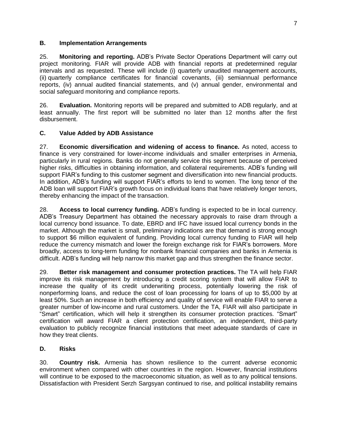#### <span id="page-10-0"></span>**B. Implementation Arrangements**

25. **Monitoring and reporting.** ADB's Private Sector Operations Department will carry out project monitoring. FIAR will provide ADB with financial reports at predetermined regular intervals and as requested. These will include (i) quarterly unaudited management accounts, (ii) quarterly compliance certificates for financial covenants, (iii) semiannual performance reports, (iv) annual audited financial statements, and (v) annual gender, environmental and social safeguard monitoring and compliance reports.

26. **Evaluation.** Monitoring reports will be prepared and submitted to ADB regularly, and at least annually. The first report will be submitted no later than 12 months after the first disbursement.

# <span id="page-10-1"></span>**C. Value Added by ADB Assistance**

27. **Economic diversification and widening of access to finance.** As noted, access to finance is very constrained for lower-income individuals and smaller enterprises in Armenia, particularly in rural regions. Banks do not generally service this segment because of perceived higher risks, difficulties in obtaining information, and collateral requirements. ADB's funding will support FIAR's funding to this customer segment and diversification into new financial products. In addition, ADB's funding will support FIAR's efforts to lend to women. The long tenor of the ADB loan will support FIAR's growth focus on individual loans that have relatively longer tenors, thereby enhancing the impact of the transaction.

28. **Access to local currency funding.** ADB's funding is expected to be in local currency. ADB's Treasury Department has obtained the necessary approvals to raise dram through a local currency bond issuance. To date, EBRD and IFC have issued local currency bonds in the market. Although the market is small, preliminary indications are that demand is strong enough to support \$6 million equivalent of funding. Providing local currency funding to FIAR will help reduce the currency mismatch and lower the foreign exchange risk for FIAR's borrowers. More broadly, access to long-term funding for nonbank financial companies and banks in Armenia is difficult. ADB's funding will help narrow this market gap and thus strengthen the finance sector.

29. **Better risk management and consumer protection practices.** The TA will help FIAR improve its risk management by introducing a credit scoring system that will allow FIAR to increase the quality of its credit underwriting process, potentially lowering the risk of nonperforming loans, and reduce the cost of loan processing for loans of up to \$5,000 by at least 50%. Such an increase in both efficiency and quality of service will enable FIAR to serve a greater number of low-income and rural customers. Under the TA, FIAR will also participate in "Smart" certification, which will help it strengthen its consumer protection practices. "Smart" certification will award FIAR a client protection certification, an independent, third-party evaluation to publicly recognize financial institutions that meet adequate standards of care in how they treat clients.

# <span id="page-10-2"></span>**D. Risks**

30. **Country risk.** Armenia has shown resilience to the current adverse economic environment when compared with other countries in the region. However, financial institutions will continue to be exposed to the macroeconomic situation, as well as to any political tensions. Dissatisfaction with President Serzh Sargsyan continued to rise, and political instability remains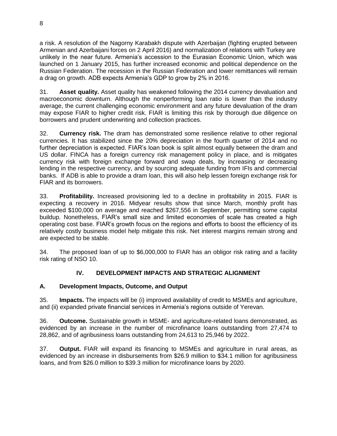a risk. A resolution of the Nagorny Karabakh dispute with Azerbaijan (fighting erupted between Armenian and Azerbaijani forces on 2 April 2016) and normalization of relations with Turkey are unlikely in the near future. Armenia's accession to the Eurasian Economic Union, which was launched on 1 January 2015, has further increased economic and political dependence on the Russian Federation. The recession in the Russian Federation and lower remittances will remain a drag on growth. ADB expects Armenia's GDP to grow by 2% in 2016.

31. **Asset quality.** Asset quality has weakened following the 2014 currency devaluation and macroeconomic downturn. Although the nonperforming loan ratio is lower than the industry average, the current challenging economic environment and any future devaluation of the dram may expose FIAR to higher credit risk. FIAR is limiting this risk by thorough due diligence on borrowers and prudent underwriting and collection practices.

32. **Currency risk.** The dram has demonstrated some resilience relative to other regional currencies. It has stabilized since the 20% depreciation in the fourth quarter of 2014 and no further depreciation is expected. FIAR's loan book is split almost equally between the dram and US dollar. FINCA has a foreign currency risk management policy in place, and is mitigates currency risk with foreign exchange forward and swap deals, by increasing or decreasing lending in the respective currency, and by sourcing adequate funding from IFIs and commercial banks. If ADB is able to provide a dram loan, this will also help lessen foreign exchange risk for FIAR and its borrowers.

33. **Profitability.** Increased provisioning led to a decline in profitability in 2015. FIAR is expecting a recovery in 2016. Midyear results show that since March, monthly profit has exceeded \$100,000 on average and reached \$267,556 in September, permitting some capital buildup. Nonetheless, FIAR's small size and limited economies of scale has created a high operating cost base. FIAR's growth focus on the regions and efforts to boost the efficiency of its relatively costly business model help mitigate this risk. Net interest margins remain strong and are expected to be stable.

34. The proposed loan of up to \$6,000,000 to FIAR has an obligor risk rating and a facility risk rating of NSO 10.

# **IV. DEVELOPMENT IMPACTS AND STRATEGIC ALIGNMENT**

# <span id="page-11-1"></span><span id="page-11-0"></span>**A. Development Impacts, Outcome, and Output**

35. **Impacts.** The impacts will be (i) improved availability of credit to MSMEs and agriculture, and (ii) expanded private financial services in Armenia's regions outside of Yerevan.

36. **Outcome.** Sustainable growth in MSME- and agriculture-related loans demonstrated, as evidenced by an increase in the number of microfinance loans outstanding from 27,474 to 28,862, and of agribusiness loans outstanding from 24,613 to 25,946 by 2022.

37. **Output.** FIAR will expand its financing to MSMEs and agriculture in rural areas, as evidenced by an increase in disbursements from \$26.9 million to \$34.1 million for agribusiness loans, and from \$26.0 million to \$39.3 million for microfinance loans by 2020.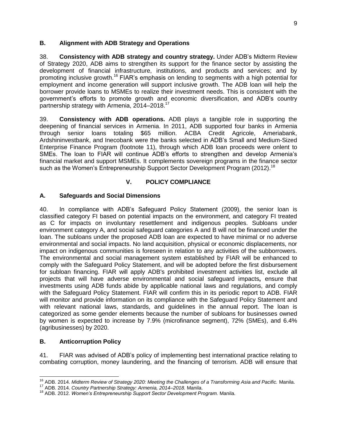#### <span id="page-12-0"></span>**B. Alignment with ADB Strategy and Operations**

38. **Consistency with ADB strategy and country strategy.** Under ADB's Midterm Review of Strategy 2020, ADB aims to strengthen its support for the finance sector by assisting the development of financial infrastructure, institutions, and products and services; and by promoting inclusive growth.<sup>16</sup> FIAR's emphasis on lending to segments with a high potential for employment and income generation will support inclusive growth. The ADB loan will help the borrower provide loans to MSMEs to realize their investment needs. This is consistent with the government's efforts to promote growth and economic diversification, and ADB's country partnership strategy with Armenia, 2014-2018.<sup>17</sup>

39. **Consistency with ADB operations.** ADB plays a tangible role in supporting the deepening of financial services in Armenia. In 2011, ADB supported four banks in Armenia through senior loans totaling \$65 million. ACBA Credit Agricole, Ameriabank, Ardshininvestbank, and Inecobank were the banks selected in ADB's Small and Medium-Sized Enterprise Finance Program (footnote 11), through which ADB loan proceeds were onlent to SMEs. The loan to FIAR will continue ADB's efforts to strengthen and develop Armenia's financial market and support MSMEs. It complements sovereign programs in the finance sector such as the Women's Entrepreneurship Support Sector Development Program (2012).<sup>18</sup>

# **V. POLICY COMPLIANCE**

#### <span id="page-12-2"></span><span id="page-12-1"></span>**A. Safeguards and Social Dimensions**

40. In compliance with ADB's Safeguard Policy Statement (2009), the senior loan is classified category FI based on potential impacts on the environment, and category FI treated as C for impacts on involuntary resettlement and indigenous peoples. Subloans under environment category A, and social safeguard categories A and B will not be financed under the loan. The subloans under the proposed ADB loan are expected to have minimal or no adverse environmental and social impacts. No land acquisition, physical or economic displacements, nor impact on indigenous communities is foreseen in relation to any activities of the subborrowers. The environmental and social management system established by FIAR will be enhanced to comply with the Safeguard Policy Statement, and will be adopted before the first disbursement for subloan financing. FIAR will apply ADB's prohibited investment activities list, exclude all projects that will have adverse environmental and social safeguard impacts**,** ensure that investments using ADB funds abide by applicable national laws and regulations, and comply with the Safeguard Policy Statement. FIAR will confirm this in its periodic report to ADB. FIAR will monitor and provide information on its compliance with the Safeguard Policy Statement and with relevant national laws, standards, and guidelines in the annual report. The loan is categorized as some gender elements because the number of subloans for businesses owned by women is expected to increase by 7.9% (microfinance segment), 72% (SMEs), and 6.4% (agribusinesses) by 2020.

#### <span id="page-12-3"></span>**B. Anticorruption Policy**

41. FIAR was advised of ADB's policy of implementing best international practice relating to combating corruption, money laundering, and the financing of terrorism. ADB will ensure that

j <sup>16</sup> ADB. 2014. *Midterm Review of Strategy 2020: Meeting the Challenges of a Transforming Asia and Pacific.* Manila.

<sup>17</sup> ADB. 2014. *Country Partnership Strategy: Armenia, 2014–2018.* Manila.

<sup>18</sup> ADB. 2012. *Women's Entrepreneurship Support Sector Development Program.* Manila.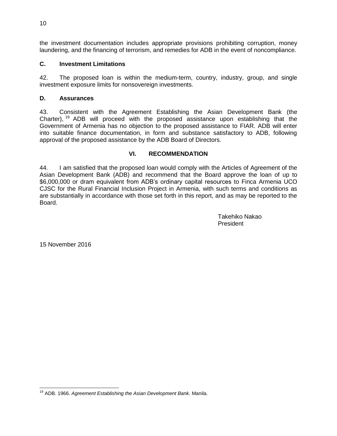the investment documentation includes appropriate provisions prohibiting corruption, money laundering, and the financing of terrorism, and remedies for ADB in the event of noncompliance.

#### <span id="page-13-0"></span>**C. Investment Limitations**

42. The proposed loan is within the medium-term, country, industry, group, and single investment exposure limits for nonsovereign investments.

#### <span id="page-13-1"></span>**D. Assurances**

43. Consistent with the Agreement Establishing the Asian Development Bank (the Charter), <sup>19</sup> ADB will proceed with the proposed assistance upon establishing that the Government of Armenia has no objection to the proposed assistance to FIAR. ADB will enter into suitable finance documentation, in form and substance satisfactory to ADB, following approval of the proposed assistance by the ADB Board of Directors.

#### **VI. RECOMMENDATION**

<span id="page-13-2"></span>44. I am satisfied that the proposed loan would comply with the Articles of Agreement of the Asian Development Bank (ADB) and recommend that the Board approve the loan of up to \$6,000,000 or dram equivalent from ADB's ordinary capital resources to Finca Armenia UCO CJSC for the Rural Financial Inclusion Project in Armenia, with such terms and conditions as are substantially in accordance with those set forth in this report, and as may be reported to the Board.

> Takehiko Nakao President

15 November 2016

 <sup>19</sup> ADB. 1966. *Agreement Establishing the Asian Development Bank.* Manila.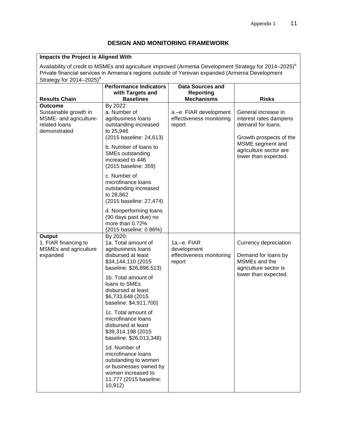# **DESIGN AND MONITORING FRAMEWORK**

<span id="page-14-0"></span>

| Impacts the Project is Aligned With                                                                                                                                                                                                                            |                                                                                                                                                  |                                                                  |                                                                                               |
|----------------------------------------------------------------------------------------------------------------------------------------------------------------------------------------------------------------------------------------------------------------|--------------------------------------------------------------------------------------------------------------------------------------------------|------------------------------------------------------------------|-----------------------------------------------------------------------------------------------|
| Availability of credit to MSMEs and agriculture improved (Armenia Development Strategy for 2014–2025) <sup>a</sup><br>Private financial services in Armenia's regions outside of Yerevan expanded (Armenia Development<br>Strategy for 2014-2025) <sup>a</sup> |                                                                                                                                                  |                                                                  |                                                                                               |
| <b>Results Chain</b>                                                                                                                                                                                                                                           | <b>Performance Indicators</b><br>with Targets and<br><b>Baselines</b>                                                                            | <b>Data Sources and</b><br><b>Reporting</b><br><b>Mechanisms</b> | <b>Risks</b>                                                                                  |
| <b>Outcome</b><br>Sustainable growth in<br>MSME- and agriculture-<br>related loans<br>demonstrated                                                                                                                                                             | By 2022:<br>a. Number of<br>agribusiness loans<br>outstanding increased<br>to 25,946<br>(2015 baseline: 24,613)                                  | a.-e. FIAR development<br>effectiveness monitoring<br>report     | General increase in<br>interest rates dampens<br>demand for loans.<br>Growth prospects of the |
|                                                                                                                                                                                                                                                                | b. Number of loans to<br>SMEs outstanding<br>increased to 446<br>(2015 baseline: 359)                                                            |                                                                  | MSME segment and<br>agriculture sector are<br>lower than expected.                            |
|                                                                                                                                                                                                                                                                | c. Number of<br>microfinance loans<br>outstanding increased<br>to 28,862<br>(2015 baseline: 27,474)                                              |                                                                  |                                                                                               |
|                                                                                                                                                                                                                                                                | d. Nonperforming loans<br>(90 days past due) no<br>more than 0.72%<br>(2015 baseline: 0.86%)                                                     |                                                                  |                                                                                               |
| Output<br>1. FIAR financing to<br>MSMEs and agriculture<br>expanded                                                                                                                                                                                            | By 2020:<br>1a. Total amount of<br>agribusiness loans<br>disbursed at least<br>\$34,144,110 (2015<br>baseline: \$26,896,513)                     | 1a.-e. FIAR<br>development<br>effectiveness monitoring<br>report | Currency depreciation<br>Demand for loans by<br>MSMEs and the<br>agriculture sector is        |
|                                                                                                                                                                                                                                                                | 1b. Total amount of<br>loans to SMEs<br>disbursed at least<br>\$6,733,648 (2015<br>baseline: \$4,911,700)                                        |                                                                  | lower than expected.                                                                          |
|                                                                                                                                                                                                                                                                | 1c. Total amount of<br>microfinance loans<br>disbursed at least<br>\$39,314,198 (2015<br>baseline: \$26,013,348)                                 |                                                                  |                                                                                               |
|                                                                                                                                                                                                                                                                | 1d. Number of<br>microfinance loans<br>outstanding to women<br>or businesses owned by<br>women increased to<br>11,777 (2015 baseline:<br>10,912) |                                                                  |                                                                                               |